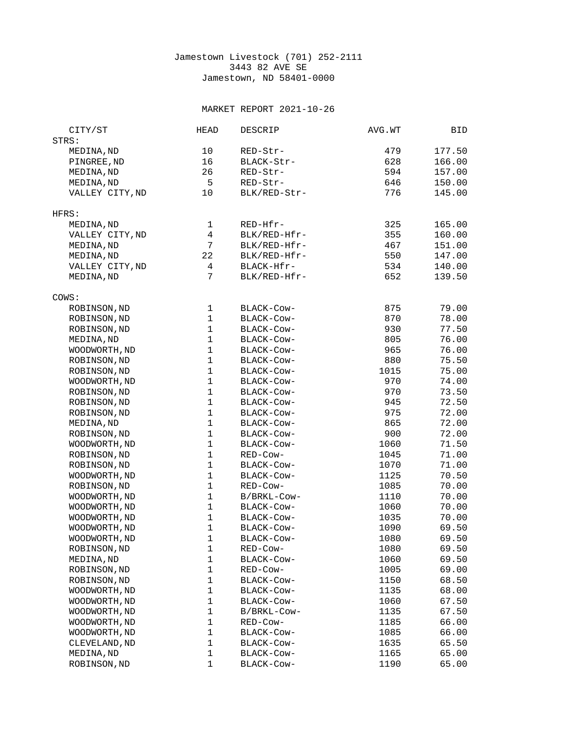## Jamestown Livestock (701) 252-2111 3443 82 AVE SE Jamestown, ND 58401-0000

## MARKET REPORT 2021-10-26

| CITY/ST         | <b>HEAD</b>    | <b>DESCRIP</b> | AVG.WT | <b>BID</b> |
|-----------------|----------------|----------------|--------|------------|
| STRS:           |                |                |        |            |
| MEDINA, ND      | 10             | RED-Str-       | 479    | 177.50     |
| PINGREE, ND     | 16             | BLACK-Str-     | 628    | 166.00     |
| MEDINA, ND      | 26             | RED-Str-       | 594    | 157.00     |
| MEDINA, ND      | 5              | RED-Str-       | 646    | 150.00     |
| VALLEY CITY, ND | 10             | BLK/RED-Str-   | 776    | 145.00     |
|                 |                |                |        |            |
| HFRS:           |                |                |        |            |
| MEDINA, ND      | 1              | RED-Hfr-       | 325    | 165.00     |
| VALLEY CITY, ND | $\overline{4}$ | BLK/RED-Hfr-   | 355    | 160.00     |
| MEDINA, ND      | $\overline{7}$ | BLK/RED-Hfr-   | 467    | 151.00     |
| MEDINA, ND      | 22             | BLK/RED-Hfr-   | 550    | 147.00     |
| VALLEY CITY, ND | $\overline{4}$ | BLACK-Hfr-     | 534    | 140.00     |
| MEDINA, ND      | $\overline{7}$ | BLK/RED-Hfr-   | 652    | 139.50     |
|                 |                |                |        |            |
| COWS:           |                |                |        |            |
| ROBINSON, ND    | $\mathbf 1$    | BLACK-COW-     | 875    | 79.00      |
| ROBINSON, ND    | $\mathbf{1}$   | BLACK-Cow-     | 870    | 78.00      |
| ROBINSON, ND    | $\mathbf 1$    | BLACK-Cow-     | 930    | 77.50      |
| MEDINA, ND      | $\mathbf 1$    | BLACK-Cow-     | 805    | 76.00      |
| WOODWORTH, ND   | $\mathbf{1}$   | BLACK-Cow-     | 965    | 76.00      |
| ROBINSON, ND    | $\mathbf 1$    | BLACK-Cow-     | 880    | 75.50      |
| ROBINSON, ND    | $\mathbf{1}$   | BLACK-Cow-     | 1015   | 75.00      |
| WOODWORTH, ND   | $\mathbf{1}$   | BLACK-Cow-     | 970    | 74.00      |
| ROBINSON, ND    | $\mathbf 1$    | BLACK-COW-     | 970    | 73.50      |
| ROBINSON, ND    | $\mathbf{1}$   | BLACK-COW-     | 945    | 72.50      |
| ROBINSON, ND    | $\mathbf 1$    | BLACK-Cow-     | 975    | 72.00      |
| MEDINA, ND      | $\mathbf 1$    | BLACK-Cow-     | 865    | 72.00      |
| ROBINSON, ND    | $\mathbf 1$    | BLACK-Cow-     | 900    | 72.00      |
| WOODWORTH, ND   | $\mathbf 1$    | BLACK-Cow-     | 1060   | 71.50      |
| ROBINSON, ND    | $\mathbf{1}$   | RED-Cow-       | 1045   | 71.00      |
| ROBINSON, ND    | $\mathbf{1}$   | BLACK-COW-     | 1070   | 71.00      |
| WOODWORTH, ND   | $\mathbf 1$    | BLACK-COW-     | 1125   | 70.50      |
| ROBINSON, ND    | $\mathbf{1}$   | RED-Cow-       | 1085   | 70.00      |
| WOODWORTH, ND   | 1              | B/BRKL-Cow-    | 1110   | 70.00      |
| WOODWORTH, ND   | $\mathbf 1$    | BLACK-Cow-     | 1060   | 70.00      |
| WOODWORTH, ND   | $\mathbf{1}$   | BLACK-Cow-     | 1035   | 70.00      |
| WOODWORTH, ND   | $\mathbf 1$    | BLACK-Cow-     | 1090   | 69.50      |
| WOODWORTH, ND   | $\mathbf 1$    | BLACK-Cow-     | 1080   | 69.50      |
| ROBINSON, ND    | 1              | RED-Cow-       | 1080   | 69.50      |
| MEDINA, ND      | $\mathbf 1$    | BLACK-Cow-     | 1060   | 69.50      |
| ROBINSON, ND    | $\mathbf{1}$   | RED-Cow-       | 1005   | 69.00      |
| ROBINSON, ND    | $\mathbf 1$    | BLACK-Cow-     | 1150   | 68.50      |
| WOODWORTH, ND   | $\mathbf 1$    | BLACK-Cow-     | 1135   | 68.00      |
| WOODWORTH, ND   | $\mathbf 1$    | BLACK-COW-     | 1060   | 67.50      |
| WOODWORTH, ND   | $\mathbf 1$    | B/BRKL-Cow-    | 1135   | 67.50      |
| WOODWORTH, ND   | $\mathbf 1$    | RED-Cow-       | 1185   | 66.00      |
| WOODWORTH, ND   | $\mathbf{1}$   | BLACK-Cow-     | 1085   | 66.00      |
| CLEVELAND, ND   | $\mathbf 1$    | BLACK-Cow-     | 1635   | 65.50      |
| MEDINA, ND      | $\mathbf 1$    | BLACK-Cow-     | 1165   | 65.00      |
| ROBINSON, ND    | $\mathbf{1}$   | BLACK-Cow-     | 1190   | 65.00      |